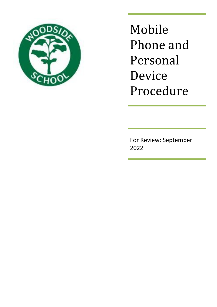

Mobile Phone and Personal Device Procedure

For Review: September 2022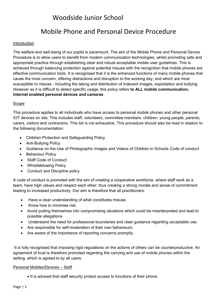# Woodside Junior School

## Mobile Phone and Personal Device Procedure

## Introduction

The welfare and well-being of our pupils is paramount. The aim of the Mobile Phone and Personal Device Procedure is to allow users to benefit from modern communication technologies, whilst promoting safe and appropriate practice through establishing clear and robust acceptable mobile user guidelines. This is achieved through balancing protection against potential misuse with the recognition that mobile phones are effective communication tools. It is recognised that it is the enhanced functions of many mobile phones that cause the most concern, offering distractions and disruption to the working day, and which are most susceptible to misuse - including the taking and distribution of indecent images, exploitation and bullying. However as it is difficult to detect specific usage, this policy refers **to ALL mobile communication, internet enabled personal devices and cameras**

## Scope

This procedure applies to all individuals who have access to personal mobile phones and other personal IOT devices on site. This includes staff, volunteers, committee members, children, young people, parents, carers, visitors and contractors. This list is not exhaustive. This procedure should also be read in relation to the following documentation:

- Children Protection and Safeguarding Policy
- Anti-Bullying Policy
- Guidance on the Use of Photographic Images and Videos of Children in Schools Code of conduct
- Behaviour Policy
- Staff Code of Conduct
- Whistleblowing Policy
- Conduct and Discipline policy

A code of conduct is promoted with the aim of creating a cooperative workforce, where staff work as a team, have high values and respect each other; thus creating a strong morale and sense of commitment leading to increased productivity. Our aim is therefore that all practitioners:

- Have a clear understanding of what constitutes misuse.
- Know how to minimise risk.
- Avoid putting themselves into compromising situations which could be misinterpreted and lead to possible allegations
- Understand the need for professional boundaries and clear guidance regarding acceptable use.
- Are responsible for self-moderation of their own behaviours.
- Are aware of the importance of reporting concerns promptly.

It is fully recognised that imposing rigid regulations on the actions of others can be counterproductive. An agreement of trust is therefore promoted regarding the carrying and use of mobile phones within the setting, which is agreed to by all users:

## Personal Mobiles/Devices – Staff

• It is advised that staff security protect access to functions of their phone.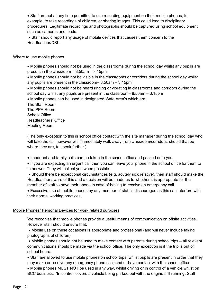Staff are not at any time permitted to use recording equipment on their mobile phones, for example: to take recordings of children, or sharing images. This could lead to disciplinary procedures. Legitimate recordings and photographs should be captured using school equipment such as cameras and ipads.

 Staff should report any usage of mobile devices that causes them concern to the Headteacher/DSL

#### Where to use mobile phones

 Mobile phones should not be used in the classrooms during the school day whilst any pupils are present in the classroom – 8.50am – 3.15pm

 Mobile phones should not be visible in the classrooms or corridors during the school day whilst any pupils are present in the classroom– 8.50am – 3.15pm

 Mobile phones should not be heard ringing or vibrating in classrooms and corridors during the school day whilst any pupils are present in the classroom– 8.50am – 3.15pm

Mobile phones can be used in designated 'Safe Area's which are:

The Staff Room The PPA Room School Office Headteachers' Office Meeting Room

(The only exception to this is school office contact with the site manager during the school day who will take the call however will immediately walk away from classroom/corridors, should that be where they are, to speak further )

Important and family calls can be taken in the school office and passed onto you.

 If you are expecting an urgent call then you can leave your phone in the school office for them to to answer. They will collect you when possible.

 Should there be exceptional circumstances (e.g. acutely sick relative), then staff should make the Headteacher aware of this and a decision will be made as to whether it is appropriate for the member of staff to have their phone in case of having to receive an emergency call.

 Excessive use of mobile phones by any member of staff is discouraged as this can interfere with their normal working practices.

#### Mobile Phones/ Personal Devices for work related purposes

We recognise that mobile phones provide a useful means of communication on offsite activities. However staff should ensure that:

 Mobile use on these occasions is appropriate and professional (and will never include taking photographs of children).

 Mobile phones should not be used to make contact with parents during school trips – all relevant communications should be made via the school office. The only exception is if the trip is out of school hours.

 Staff are allowed to use mobile phones on school trips, whilst pupils are present in order that they may make or receive any emergency phone calls and or have contact with the school office.

 Mobile phones MUST NOT be used in any way, whilst driving or in control of a vehicle whilst on BCC business. 'In control' covers a vehicle being parked but with the engine still running. Staff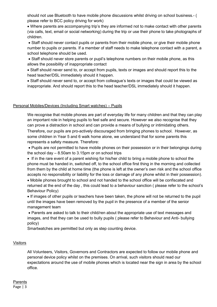should not use Bluetooth to have mobile phone discussions whilst driving on school business.- ( please refer to BCC policy driving for work)

 Where parents are accompanying trip's they are informed not to make contact with other parents (via calls, text, email or social networking) during the trip or use their phone to take photographs of children.

 Staff should never contact pupils or parents from their mobile phone, or give their mobile phone number to pupils or parents. If a member of staff needs to make telephone contact with a parent, a school telephone should be used.

• Staff should never store parents or pupil's telephone numbers on their mobile phone, as this allows the possibility of inappropriate contact

 Staff should never send to, or accept from pupils, texts or images and should report this to the head teacher/DSL immediately should it happen.

 Staff should never send to, or accept from colleague's texts or images that could be viewed as inappropriate. And should report this to the head teacher/DSL immediately should it happen.

### Personal Mobiles/Devices (Including Smart watches) – Pupils

We recognise that mobile phones are part of everyday life for many children and that they can play an important role in helping pupils to feel safe and secure. However we also recognise that they can prove a distraction in school and can provide a means of bullying or intimidating others. Therefore, our pupils are pro-actively discouraged from bringing phones to school. However, as some children in Year 5 and 6 walk home alone, we understand that for some parents this represents a safety measure. Therefore:

 Pupils are not permitted to have mobile phones on their possession or in their belongings during the school day  $-8.50$ am to 3.15pm or on school trips

 If in the rare event of a parent wishing for his/her child to bring a mobile phone to school the phone must be handed in, switched off, to the school office first thing in the morning and collected from them by the child at home time (the phone is left at the owner's own risk and the school office accepts no responsibility or liability for the loss or damage of any phone whilst in their possession).

 Mobile phones brought to school and not handed to the school office will be confiscated and returned at the end of the day , this could lead to a behaviour sanction ( please refer to the school's Behaviour Policy)

 If images of other pupils or teachers have been taken, the phone will not be returned to the pupil until the images have been removed by the pupil in the presence of a member of the senior management team

 Parents are asked to talk to their child/ren about the appropriate use of text messages and images, and that they can be used to bully pupils ( please refer to Behaviour and Anti- bullying policy)

Smartwatches are permitted but only as step counting device.

#### **Visitors**

All Volunteers, Visitors, Governors and Contractors are expected to follow our mobile phone and personal device policy whilst on the premises. On arrival, such visitors should read our expectations around the use of mobile phones which is located near the sign in area by the school office.